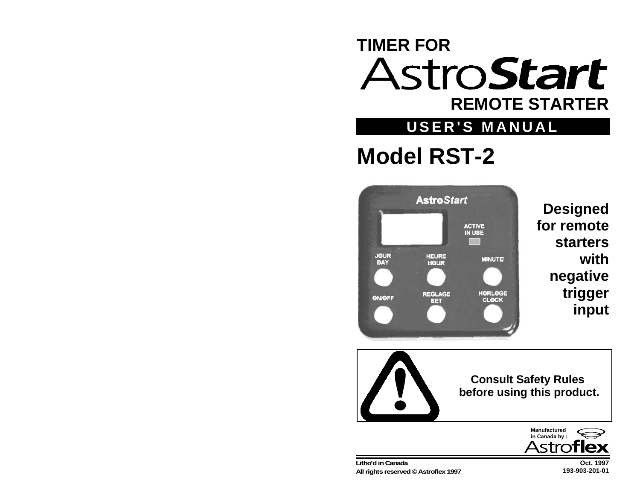# **TIMER FOR stroStart REMOTE STARTER**

# **USER'S MANUAL**

# **Model RST-2**



**Designed for remotestarterswithnegative trigger input**



**Oct. 1997193-903-201-01**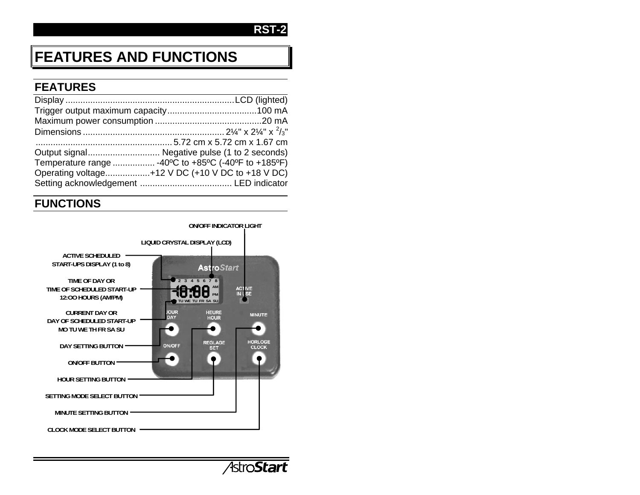# **FEATURES AND FUNCTIONS**

## **FEATURES**

| Output signal Negative pulse (1 to 2 seconds)       |
|-----------------------------------------------------|
| Temperature range  -40°C to +85°C (-40°F to +185°F) |
| Operating voltage+12 V DC (+10 V DC to +18 V DC)    |
|                                                     |
|                                                     |

## **FUNCTIONS**



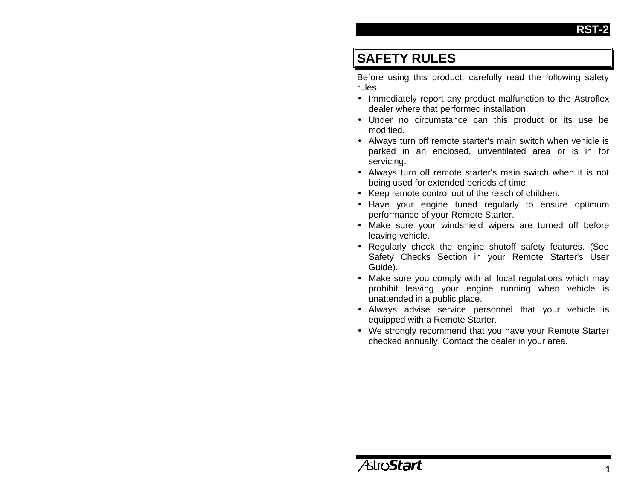# **SAFETY RULES**

Before using this product, carefully read the following safety rules.

- Immediately report any product malfunction to the Astroflex dealer where that performed installation.
- Under no circumstance can this product or its use be modified.
- Always turn off remote starter's main switch when vehicle is parked in an enclosed, unventilated area or is in for servicing.
- Always turn off remote starter's main switch when it is not being used for extended periods of time.
- Keep remote control out of the reach of children.
- Have your engine tuned regularly to ensure optimum performance of your Remote Starter.
- Make sure your windshield wipers are turned off before leaving vehicle.
- Regularly check the engine shutoff safety features. (See Safety Checks Section in your Remote Starter's User Guide).
- Make sure you comply with all local regulations which may prohibit leaving your engine running when vehicle is unattended in a public place.
- Always advise service personnel that your vehicle is equipped with a Remote Starter.
- We strongly recommend that you have your Remote Starter checked annually. Contact the dealer in your area.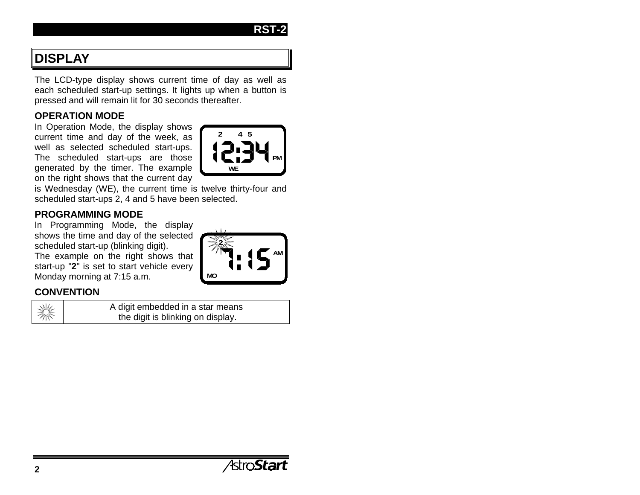# **DISPLAY**

The LCD-type display shows current time of day as well as each scheduled start-up settings. It lights up when a button is pressed and will remain lit for 30 seconds thereafter.

#### **OPERATION MODE**

In Operation Mode, the display shows current time and day of the week, as well as selected scheduled start-ups. The scheduled start-ups are those generated by the timer. The example on the right shows that the current day

is Wednesday (WE), the current time is twelve thirty-four and scheduled start-ups 2, 4 and 5 have been selected.

#### **PROGRAMMING MODE**

In Programming Mode, the display shows the time and day of the selected scheduled start-up (blinking digit). The example on the right shows that start-up "**2**" is set to start vehicle every Monday morning at 7:15 a.m.

#### **CONVENTION**

A digit embedded in a star means the digit is blinking on display.



**RST-2**

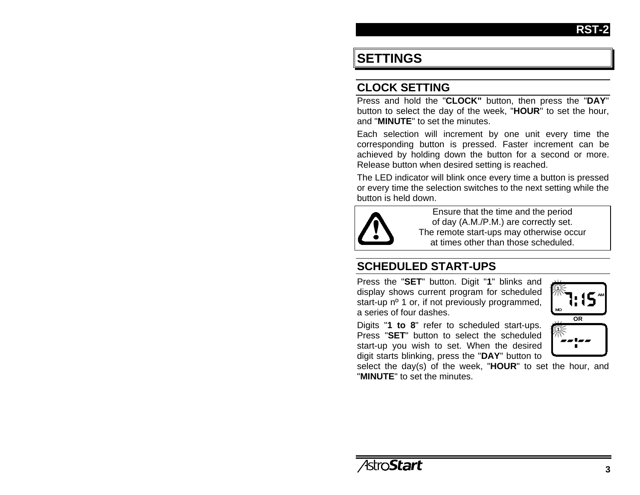# **SETTINGS**

### **CLOCK SETTING**

Press and hold the "**CLOCK"** button, then press the "**DAY**" button to select the day of the week, "**HOUR**" to set the hour, and "**MINUTE**" to set the minutes.

Each selection will increment by one unit every time the corresponding button is pressed. Faster increment can be achieved by holding down the button for a second or more. Release button when desired setting is reached.

The LED indicator will blink once every time a button is pressed or every time the selection switches to the next setting while the button is held down.



Ensure that the time and the period of day (A.M./P.M.) are correctly set. The remote start-ups may otherwise occur at times other than those scheduled.

## **SCHEDULED START-UPS**

Press the "**SET**" button. Digit "**1**" blinks and display shows current program for scheduled start-up n<sup>o</sup> 1 or, if not previously programmed, a series of four dashes.

Digits "**1 to 8**" refer to scheduled start-ups. Press "**SET**" button to select the scheduled start-up you wish to set. When the desired digit starts blinking, press the "**DAY**" button to



select the day(s) of the week, "**HOUR**" to set the hour, and "**MINUTE**" to set the minutes.

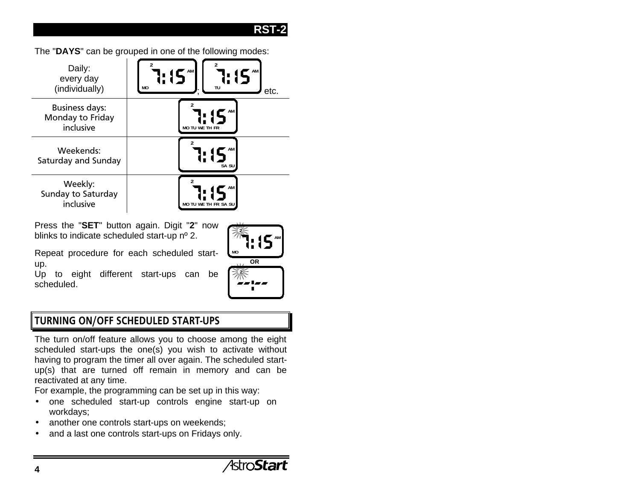The "**DAYS**" can be grouped in one of the following modes:



Press the "**SET**" button again. Digit "**2**" now blinks to indicate scheduled start-up nº 2.

Repeat procedure for each scheduled startup.

Up to eight different start-ups can be scheduled.



### TURNING ON/OFF SCHEDULED START-UPS

The turn on/off feature allows you to choose among the eight scheduled start-ups the one(s) you wish to activate without having to program the timer all over again. The scheduled startup(s) that are turned off remain in memory and can be reactivated at any time.

For example, the programming can be set up in this way:

- one scheduled start-up controls engine start-up on workdays;
- another one controls start-ups on weekends;
- and a last one controls start-ups on Fridays only.

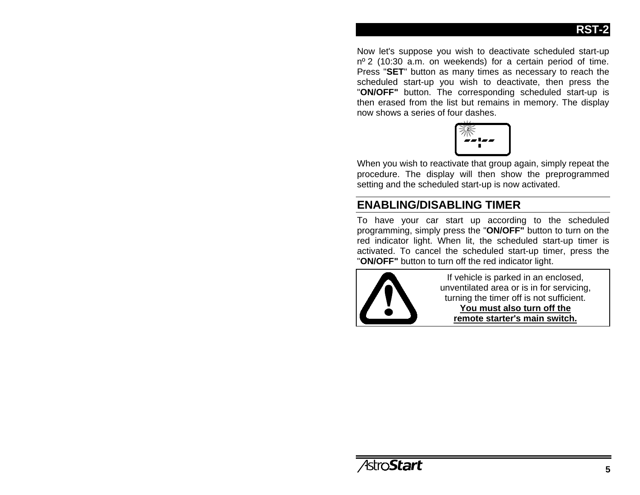Now let's suppose you wish to deactivate scheduled start-up  $n^{\circ}$  2 (10:30 a.m. on weekends) for a certain period of time. Press "**SET**" button as many times as necessary to reach the scheduled start-up you wish to deactivate, then press the "**ON/OFF"** button. The corresponding scheduled start-up is then erased from the list but remains in memory. The display now shows a series of four dashes.



When you wish to reactivate that group again, simply repeat the procedure. The display will then show the preprogrammed setting and the scheduled start-up is now activated.

# **ENABLING/DISABLING TIMER**

To have your car start up according to the scheduled programming, simply press the "**ON/OFF"** button to turn on the red indicator light. When lit, the scheduled start-up timer is activated. To cancel the scheduled start-up timer, press the "**ON/OFF"** button to turn off the red indicator light.



If vehicle is parked in an enclosed, unventilated area or is in for servicing, turning the timer off is not sufficient. **You must also turn off the remote starter's main switch.**

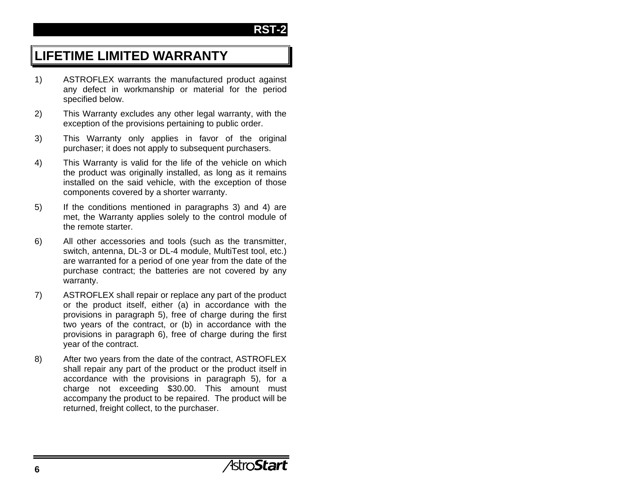# **LIFETIME LIMITED WARRANTY**

- 1) ASTROFLEX warrants the manufactured product against any defect in workmanship or material for the period specified below.
- 2) This Warranty excludes any other legal warranty, with the exception of the provisions pertaining to public order.
- 3) This Warranty only applies in favor of the original purchaser; it does not apply to subsequent purchasers.
- 4) This Warranty is valid for the life of the vehicle on which the product was originally installed, as long as it remains installed on the said vehicle, with the exception of those components covered by a shorter warranty.
- 5) If the conditions mentioned in paragraphs 3) and 4) are met, the Warranty applies solely to the control module of the remote starter.
- 6) All other accessories and tools (such as the transmitter, switch, antenna, DL-3 or DL-4 module, MultiTest tool, etc.) are warranted for a period of one year from the date of the purchase contract; the batteries are not covered by any warranty.
- 7) ASTROFLEX shall repair or replace any part of the product or the product itself, either (a) in accordance with the provisions in paragraph 5), free of charge during the first two years of the contract, or (b) in accordance with the provisions in paragraph 6), free of charge during the first year of the contract.
- 8) After two years from the date of the contract, ASTROFLEX shall repair any part of the product or the product itself in accordance with the provisions in paragraph 5), for a charge not exceeding \$30.00. This amount must accompany the product to be repaired. The product will be returned, freight collect, to the purchaser.

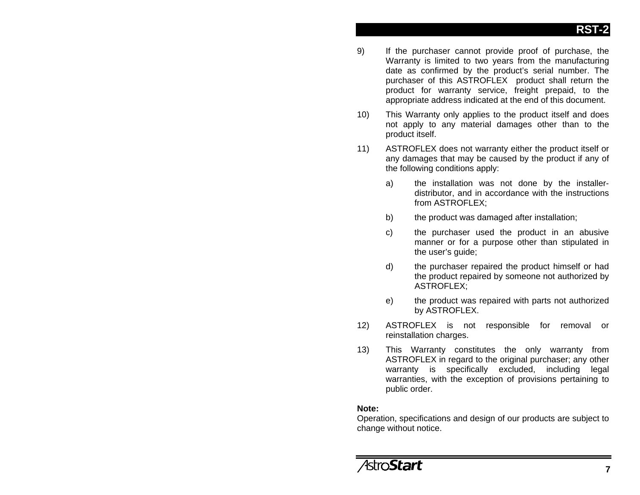- 9) If the purchaser cannot provide proof of purchase, the Warranty is limited to two years from the manufacturing date as confirmed by the product's serial number. The purchaser of this ASTROFLEX product shall return the product for warranty service, freight prepaid, to the appropriate address indicated at the end of this document.
- 10) This Warranty only applies to the product itself and does not apply to any material damages other than to the product itself.
- 11) ASTROFLEX does not warranty either the product itself or any damages that may be caused by the product if any of the following conditions apply:
	- a) the installation was not done by the installerdistributor, and in accordance with the instructions from ASTROFLEX;
	- b) the product was damaged after installation;
	- c) the purchaser used the product in an abusive manner or for a purpose other than stipulated in the user's guide;
	- d) the purchaser repaired the product himself or had the product repaired by someone not authorized by ASTROFLEX;
	- e) the product was repaired with parts not authorized by ASTROFLEX.
- 12) ASTROFLEX is not responsible for removal or reinstallation charges.
- 13) This Warranty constitutes the only warranty from ASTROFLEX in regard to the original purchaser; any other warranty is specifically excluded, including legal warranties, with the exception of provisions pertaining to public order.

#### **Note:**

Operation, specifications and design of our products are subject to change without notice.